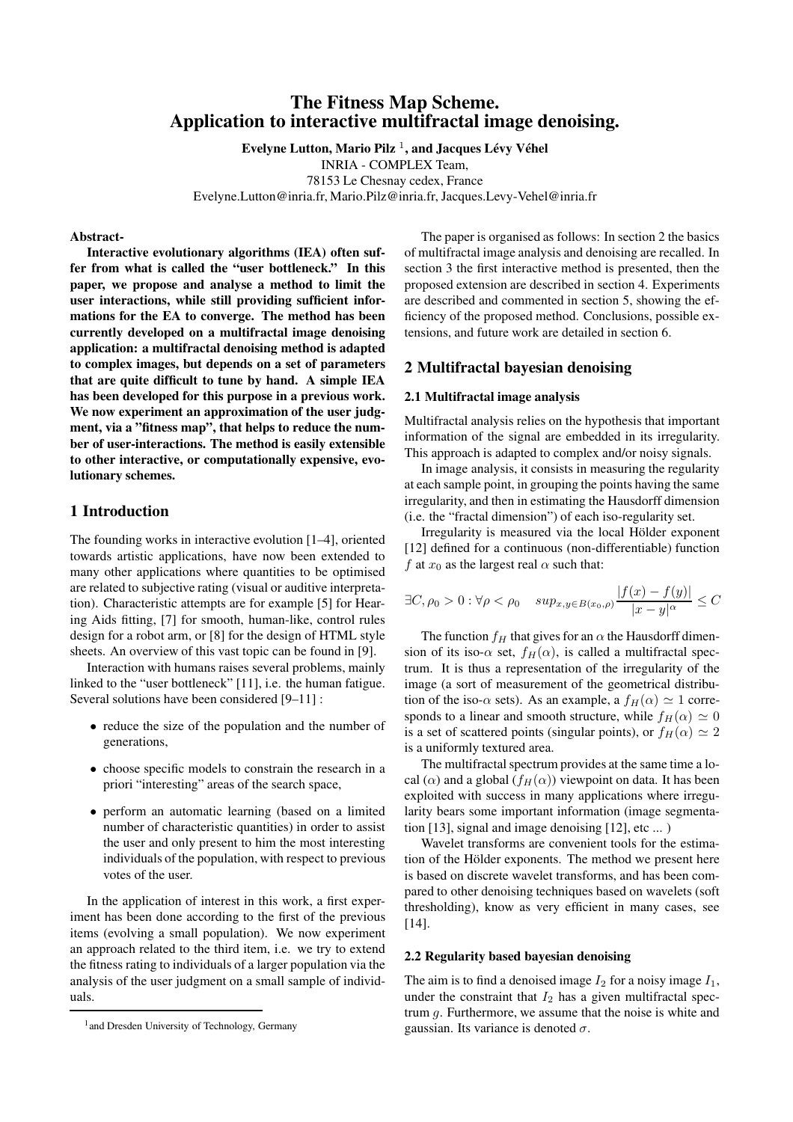# **The Fitness Map Scheme. Application to interactive multifractal image denoising.**

**Evelyne Lutton, Mario Pilz** <sup>1</sup> **, and Jacques Levy ´ Vehel ´**

INRIA - COMPLEX Team,

78153 Le Chesnay cedex, France

Evelyne.Lutton@inria.fr, Mario.Pilz@inria.fr, Jacques.Levy-Vehel@inria.fr

#### **Abstract-**

**Interactive evolutionary algorithms (IEA) often suffer from what is called the "user bottleneck." In this paper, we propose and analyse a method to limit the user interactions, while still providing sufficient informations for the EA to converge. The method has been currently developed on a multifractal image denoising application: a multifractal denoising method is adapted to complex images, but depends on a set of parameters that are quite difficult to tune by hand. A simple IEA has been developed for this purpose in a previous work. We now experiment an approximation of the user judgment, via a "fitness map", that helps to reduce the number of user-interactions. The method is easily extensible to other interactive, or computationally expensive, evolutionary schemes.**

## **1 Introduction**

The founding works in interactive evolution [1–4], oriented towards artistic applications, have now been extended to many other applications where quantities to be optimised are related to subjective rating (visual or auditive interpretation). Characteristic attempts are for example [5] for Hearing Aids fitting, [7] for smooth, human-like, control rules design for a robot arm, or [8] for the design of HTML style sheets. An overview of this vast topic can be found in [9].

Interaction with humans raises several problems, mainly linked to the "user bottleneck" [11], i.e. the human fatigue. Several solutions have been considered [9–11] :

- reduce the size of the population and the number of generations,
- choose specific models to constrain the research in a priori "interesting" areas of the search space,
- perform an automatic learning (based on a limited number of characteristic quantities) in order to assist the user and only present to him the most interesting individuals of the population, with respect to previous votes of the user.

In the application of interest in this work, a first experiment has been done according to the first of the previous items (evolving a small population). We now experiment an approach related to the third item, i.e. we try to extend the fitness rating to individuals of a larger population via the analysis of the user judgment on a small sample of individuals.

The paper is organised as follows: In section 2 the basics of multifractal image analysis and denoising are recalled. In section 3 the first interactive method is presented, then the proposed extension are described in section 4. Experiments are described and commented in section 5, showing the efficiency of the proposed method. Conclusions, possible extensions, and future work are detailed in section 6.

### **2 Multifractal bayesian denoising**

#### **2.1 Multifractal image analysis**

Multifractal analysis relies on the hypothesis that important information of the signal are embedded in its irregularity. This approach is adapted to complex and/or noisy signals.

In image analysis, it consists in measuring the regularity at each sample point, in grouping the points having the same irregularity, and then in estimating the Hausdorff dimension (i.e. the "fractal dimension") of each iso-regularity set.

Irregularity is measured via the local Hölder exponent [12] defined for a continuous (non-differentiable) function f at  $x_0$  as the largest real  $\alpha$  such that:

$$
\exists C, \rho_0 > 0 : \forall \rho < \rho_0 \quad \sup_{x, y \in B(x_0, \rho)} \frac{|f(x) - f(y)|}{|x - y|^{\alpha}} \le C
$$

The function  $f_H$  that gives for an  $\alpha$  the Hausdorff dimension of its iso- $\alpha$  set,  $f_H(\alpha)$ , is called a multifractal spectrum. It is thus a representation of the irregularity of the image (a sort of measurement of the geometrical distribution of the iso- $\alpha$  sets). As an example, a  $f_H(\alpha) \simeq 1$  corresponds to a linear and smooth structure, while  $f_H(\alpha) \simeq 0$ is a set of scattered points (singular points), or  $f_H(\alpha) \simeq 2$ is a uniformly textured area.

The multifractal spectrum provides at the same time a local ( $\alpha$ ) and a global ( $f_H(\alpha)$ ) viewpoint on data. It has been exploited with success in many applications where irregularity bears some important information (image segmentation [13], signal and image denoising [12], etc ... )

Wavelet transforms are convenient tools for the estimation of the Hölder exponents. The method we present here is based on discrete wavelet transforms, and has been compared to other denoising techniques based on wavelets (soft thresholding), know as very efficient in many cases, see [14].

#### **2.2 Regularity based bayesian denoising**

The aim is to find a denoised image  $I_2$  for a noisy image  $I_1$ , under the constraint that  $I_2$  has a given multifractal spectrum  $q$ . Furthermore, we assume that the noise is white and gaussian. Its variance is denoted  $\sigma$ .

<sup>&</sup>lt;sup>1</sup> and Dresden University of Technology, Germany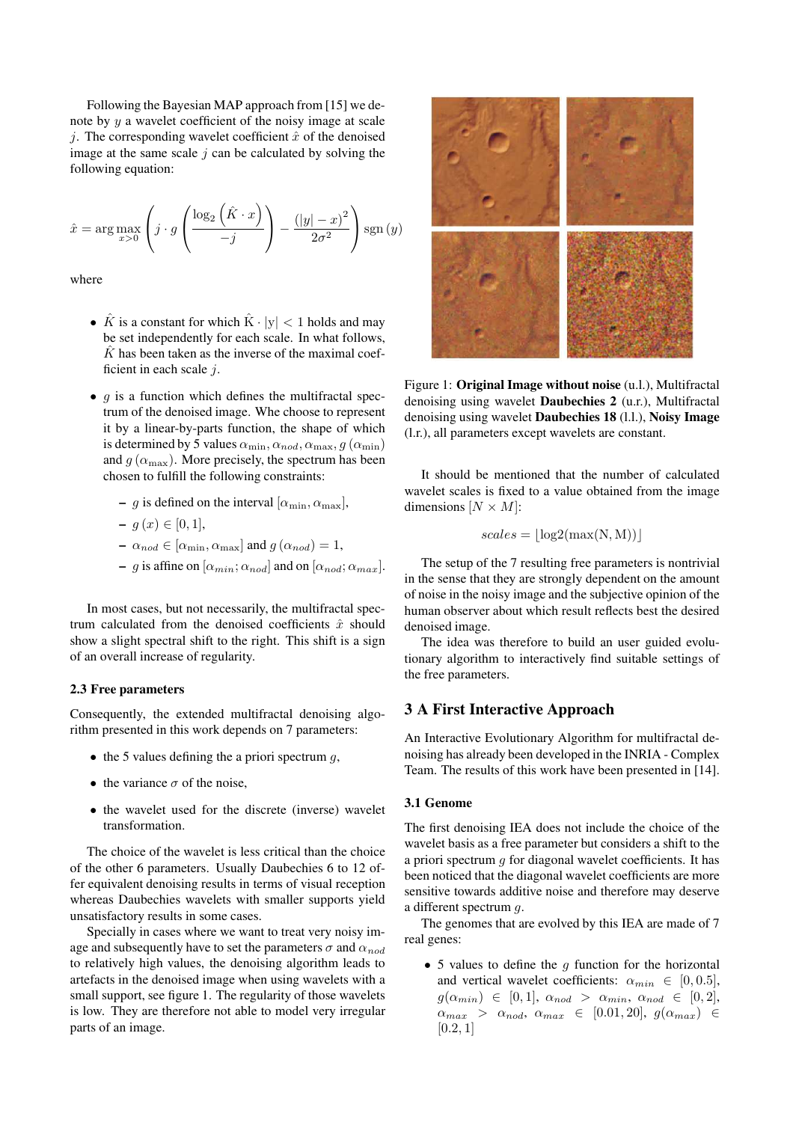Following the Bayesian MAP approach from [15] we denote by  $y$  a wavelet coefficient of the noisy image at scale j. The corresponding wavelet coefficient  $\hat{x}$  of the denoised image at the same scale  $j$  can be calculated by solving the following equation:

$$
\hat{x} = \arg \max_{x>0} \left( j \cdot g \left( \frac{\log_2 \left( \hat{K} \cdot x \right)}{-j} \right) - \frac{\left( |y| - x \right)^2}{2\sigma^2} \right) \operatorname{sgn}(y)
$$

where

- $\hat{K}$  is a constant for which  $\hat{K} \cdot |y| < 1$  holds and may be set independently for each scale. In what follows,  $\hat{K}$  has been taken as the inverse of the maximal coefficient in each scale  $i$ .
- $q$  is a function which defines the multifractal spectrum of the denoised image. Whe choose to represent it by a linear-by-parts function, the shape of which is determined by 5 values  $\alpha_{\min}, \alpha_{nod}, \alpha_{\max}, g(\alpha_{\min})$ and  $q(\alpha_{\text{max}})$ . More precisely, the spectrum has been chosen to fulfill the following constraints:
	- **–** g is defined on the interval  $[\alpha_{\min}, \alpha_{\max}]$ ,

$$
- g(x) \in [0, 1],
$$

- $\mathbf{a}_{nod} \in [\alpha_{\min}, \alpha_{\max}]$  and  $g\left(\alpha_{nod}\right) = 1,$
- **–** g is affine on  $[\alpha_{min}; \alpha_{nod}]$  and on  $[\alpha_{nod}; \alpha_{max}]$ .

In most cases, but not necessarily, the multifractal spectrum calculated from the denoised coefficients  $\hat{x}$  should show a slight spectral shift to the right. This shift is a sign of an overall increase of regularity.

#### **2.3 Free parameters**

Consequently, the extended multifractal denoising algorithm presented in this work depends on 7 parameters:

- $\bullet$  the 5 values defining the a priori spectrum  $q$ ,
- the variance  $\sigma$  of the noise.
- the wavelet used for the discrete (inverse) wavelet transformation.

The choice of the wavelet is less critical than the choice of the other 6 parameters. Usually Daubechies 6 to 12 offer equivalent denoising results in terms of visual reception whereas Daubechies wavelets with smaller supports yield unsatisfactory results in some cases.

Specially in cases where we want to treat very noisy image and subsequently have to set the parameters  $\sigma$  and  $\alpha_{nod}$ to relatively high values, the denoising algorithm leads to artefacts in the denoised image when using wavelets with a small support, see figure 1. The regularity of those wavelets is low. They are therefore not able to model very irregular parts of an image.



Figure 1: **Original Image without noise** (u.l.), Multifractal denoising using wavelet **Daubechies 2** (u.r.), Multifractal denoising using wavelet **Daubechies 18** (l.l.), **Noisy Image** (l.r.), all parameters except wavelets are constant.

It should be mentioned that the number of calculated wavelet scales is fixed to a value obtained from the image dimensions  $[N \times M]$ :

$$
scales = \lfloor \log 2(\max(N, M)) \rfloor
$$

The setup of the 7 resulting free parameters is nontrivial in the sense that they are strongly dependent on the amount of noise in the noisy image and the subjective opinion of the human observer about which result reflects best the desired denoised image.

The idea was therefore to build an user guided evolutionary algorithm to interactively find suitable settings of the free parameters.

### **3 A First Interactive Approach**

An Interactive Evolutionary Algorithm for multifractal denoising has already been developed in the INRIA - Complex Team. The results of this work have been presented in [14].

#### **3.1 Genome**

The first denoising IEA does not include the choice of the wavelet basis as a free parameter but considers a shift to the a priori spectrum  $q$  for diagonal wavelet coefficients. It has been noticed that the diagonal wavelet coefficients are more sensitive towards additive noise and therefore may deserve a different spectrum g.

The genomes that are evolved by this IEA are made of 7 real genes:

• 5 values to define the  $q$  function for the horizontal and vertical wavelet coefficients:  $\alpha_{min} \in [0, 0.5]$ ,  $g(\alpha_{min}) \in [0,1], \alpha_{nod} > \alpha_{min}, \alpha_{nod} \in [0,2],$  $\alpha_{max} > \alpha_{nod}, \alpha_{max} \in [0.01, 20], g(\alpha_{max}) \in$  $[0.2, 1]$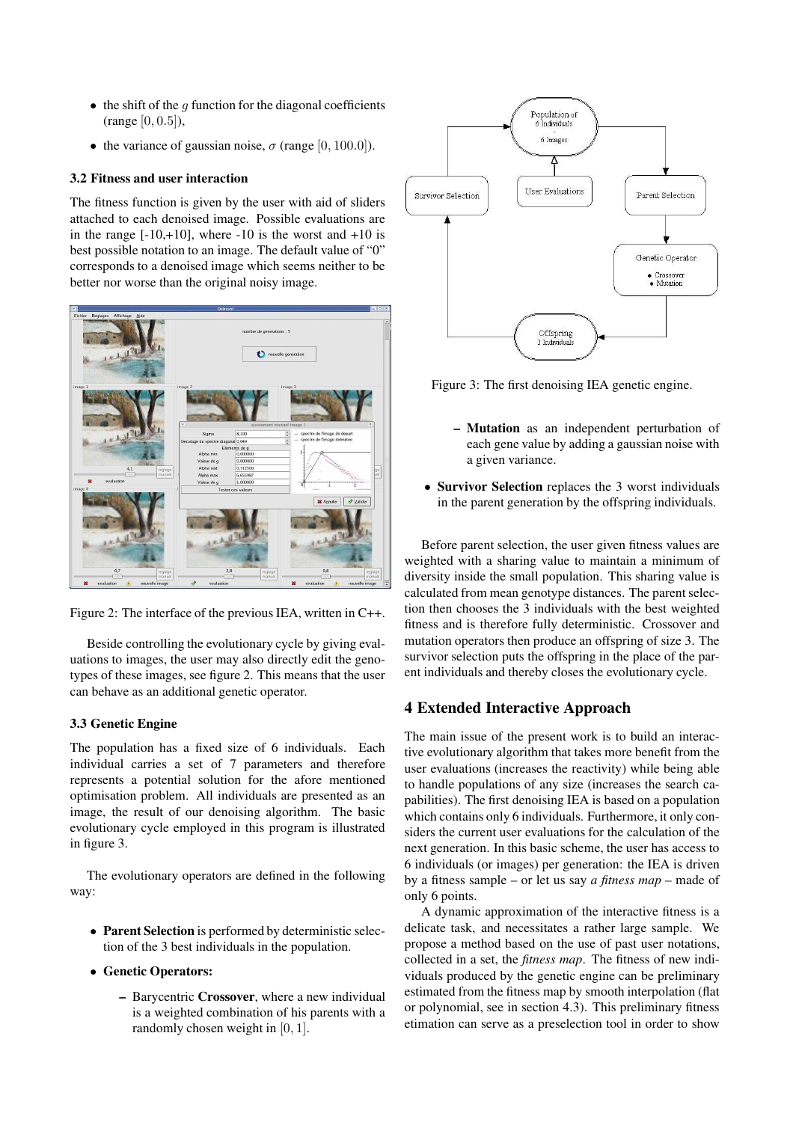- $\bullet$  the shift of the q function for the diagonal coefficients (range [0, 0.5]),
- the variance of gaussian noise,  $\sigma$  (range [0, 100.0]).

### **3.2 Fitness and user interaction**

The fitness function is given by the user with aid of sliders attached to each denoised image. Possible evaluations are in the range  $[-10,+10]$ , where  $-10$  is the worst and  $+10$  is best possible notation to an image. The default value of "0" corresponds to a denoised image which seems neither to be better nor worse than the original noisy image.



Figure 2: The interface of the previous IEA, written in C++.

Beside controlling the evolutionary cycle by giving evaluations to images, the user may also directly edit the genotypes of these images, see figure 2. This means that the user can behave as an additional genetic operator.

### **3.3 Genetic Engine**

The population has a fixed size of 6 individuals. Each individual carries a set of 7 parameters and therefore represents a potential solution for the afore mentioned optimisation problem. All individuals are presented as an image, the result of our denoising algorithm. The basic evolutionary cycle employed in this program is illustrated in figure 3.

The evolutionary operators are defined in the following way:

- **Parent Selection** is performed by deterministic selection of the 3 best individuals in the population.
- **Genetic Operators:**
	- **–** Barycentric **Crossover**, where a new individual is a weighted combination of his parents with a randomly chosen weight in [0, 1].



Figure 3: The first denoising IEA genetic engine.

- **– Mutation** as an independent perturbation of each gene value by adding a gaussian noise with a given variance.
- **Survivor Selection** replaces the 3 worst individuals in the parent generation by the offspring individuals.

Before parent selection, the user given fitness values are weighted with a sharing value to maintain a minimum of diversity inside the small population. This sharing value is calculated from mean genotype distances. The parent selection then chooses the 3 individuals with the best weighted fitness and is therefore fully deterministic. Crossover and mutation operators then produce an offspring of size 3. The survivor selection puts the offspring in the place of the parent individuals and thereby closes the evolutionary cycle.

## **4 Extended Interactive Approach**

The main issue of the present work is to build an interactive evolutionary algorithm that takes more benefit from the user evaluations (increases the reactivity) while being able to handle populations of any size (increases the search capabilities). The first denoising IEA is based on a population which contains only 6 individuals. Furthermore, it only considers the current user evaluations for the calculation of the next generation. In this basic scheme, the user has access to 6 individuals (or images) per generation: the IEA is driven by a fitness sample – or let us say *a fitness map* – made of only 6 points.

A dynamic approximation of the interactive fitness is a delicate task, and necessitates a rather large sample. We propose a method based on the use of past user notations, collected in a set, the *fitness map*. The fitness of new individuals produced by the genetic engine can be preliminary estimated from the fitness map by smooth interpolation (flat or polynomial, see in section 4.3). This preliminary fitness etimation can serve as a preselection tool in order to show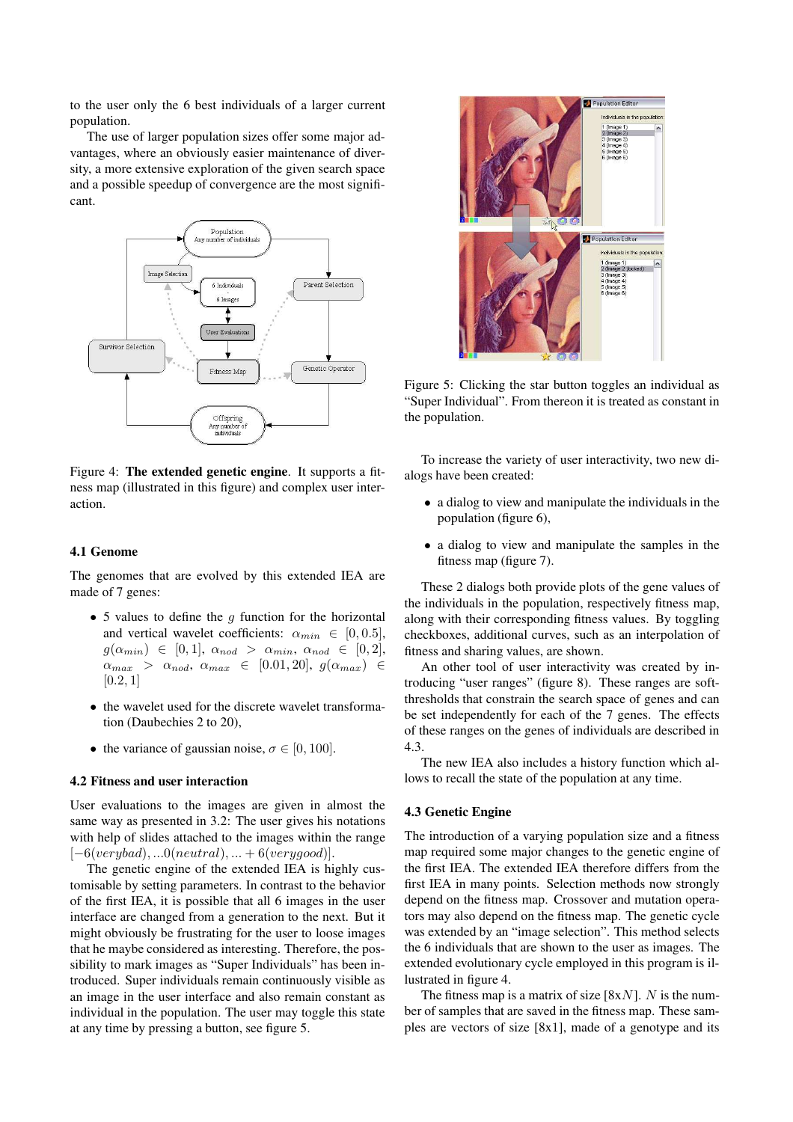to the user only the 6 best individuals of a larger current population.

The use of larger population sizes offer some major advantages, where an obviously easier maintenance of diversity, a more extensive exploration of the given search space and a possible speedup of convergence are the most significant.



Figure 4: **The extended genetic engine**. It supports a fitness map (illustrated in this figure) and complex user interaction.

#### **4.1 Genome**

The genomes that are evolved by this extended IEA are made of 7 genes:

- 5 values to define the  $q$  function for the horizontal and vertical wavelet coefficients:  $\alpha_{min} \in [0, 0.5]$ ,  $g(\alpha_{min}) \in [0, 1], \alpha_{nod} > \alpha_{min}, \alpha_{nod} \in [0, 2],$  $\alpha_{max} > \alpha_{nod}, \alpha_{max} \in [0.01, 20], g(\alpha_{max}) \in$  $[0.2, 1]$
- the wavelet used for the discrete wavelet transformation (Daubechies 2 to 20),
- the variance of gaussian noise,  $\sigma \in [0, 100]$ .

#### **4.2 Fitness and user interaction**

User evaluations to the images are given in almost the same way as presented in 3.2: The user gives his notations with help of slides attached to the images within the range  $[-6(verybad),...0(neutral),...+6(verygood)].$ 

The genetic engine of the extended IEA is highly customisable by setting parameters. In contrast to the behavior of the first IEA, it is possible that all 6 images in the user interface are changed from a generation to the next. But it might obviously be frustrating for the user to loose images that he maybe considered as interesting. Therefore, the possibility to mark images as "Super Individuals" has been introduced. Super individuals remain continuously visible as an image in the user interface and also remain constant as individual in the population. The user may toggle this state at any time by pressing a button, see figure 5.



Figure 5: Clicking the star button toggles an individual as "Super Individual". From thereon it is treated as constant in the population.

To increase the variety of user interactivity, two new dialogs have been created:

- a dialog to view and manipulate the individuals in the population (figure 6),
- a dialog to view and manipulate the samples in the fitness map (figure 7).

These 2 dialogs both provide plots of the gene values of the individuals in the population, respectively fitness map, along with their corresponding fitness values. By toggling checkboxes, additional curves, such as an interpolation of fitness and sharing values, are shown.

An other tool of user interactivity was created by introducing "user ranges" (figure 8). These ranges are softthresholds that constrain the search space of genes and can be set independently for each of the 7 genes. The effects of these ranges on the genes of individuals are described in 4.3.

The new IEA also includes a history function which allows to recall the state of the population at any time.

#### **4.3 Genetic Engine**

The introduction of a varying population size and a fitness map required some major changes to the genetic engine of the first IEA. The extended IEA therefore differs from the first IEA in many points. Selection methods now strongly depend on the fitness map. Crossover and mutation operators may also depend on the fitness map. The genetic cycle was extended by an "image selection". This method selects the 6 individuals that are shown to the user as images. The extended evolutionary cycle employed in this program is illustrated in figure 4.

The fitness map is a matrix of size  $[8xN]$ . N is the number of samples that are saved in the fitness map. These samples are vectors of size [8x1], made of a genotype and its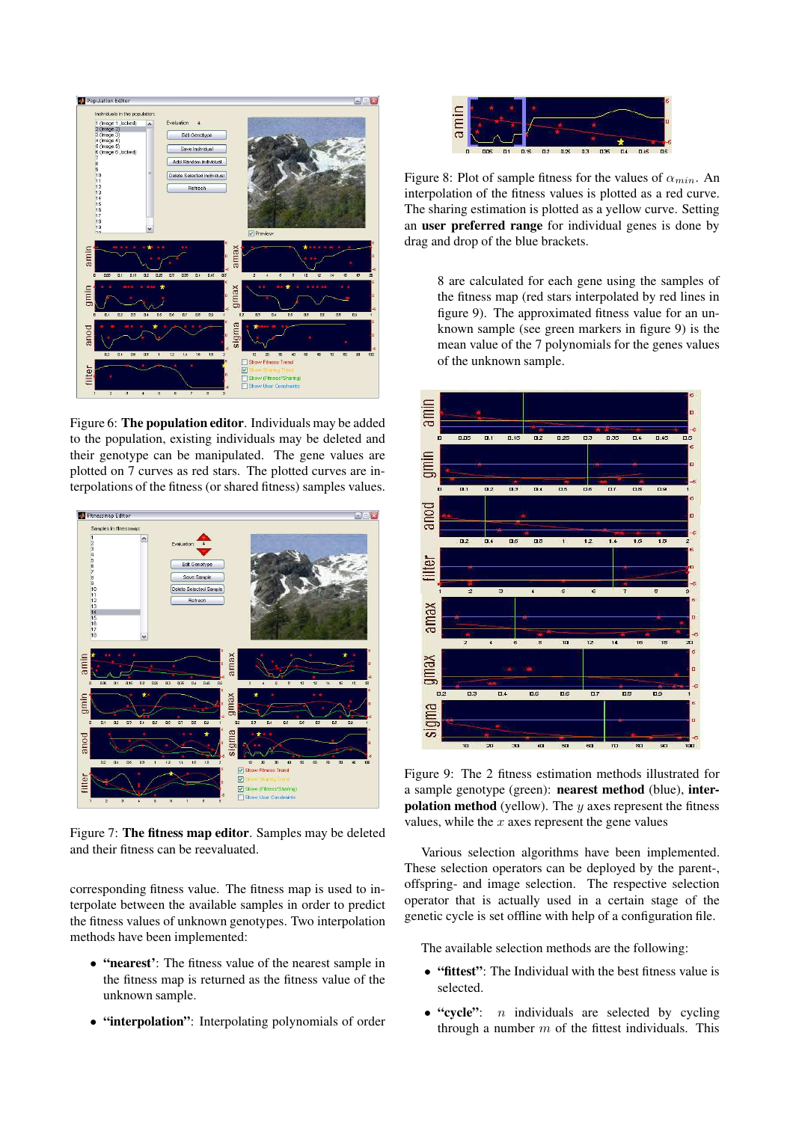

Figure 6: **The population editor**. Individuals may be added to the population, existing individuals may be deleted and their genotype can be manipulated. The gene values are plotted on 7 curves as red stars. The plotted curves are interpolations of the fitness (or shared fitness) samples values.



Figure 7: **The fitness map editor**. Samples may be deleted and their fitness can be reevaluated.

corresponding fitness value. The fitness map is used to interpolate between the available samples in order to predict the fitness values of unknown genotypes. Two interpolation methods have been implemented:

- **"nearest'**: The fitness value of the nearest sample in the fitness map is returned as the fitness value of the unknown sample.
- **"interpolation"**: Interpolating polynomials of order



Figure 8: Plot of sample fitness for the values of  $\alpha_{min}$ . An interpolation of the fitness values is plotted as a red curve. The sharing estimation is plotted as a yellow curve. Setting an **user preferred range** for individual genes is done by drag and drop of the blue brackets.

8 are calculated for each gene using the samples of the fitness map (red stars interpolated by red lines in figure 9). The approximated fitness value for an unknown sample (see green markers in figure 9) is the mean value of the 7 polynomials for the genes values of the unknown sample.



Figure 9: The 2 fitness estimation methods illustrated for a sample genotype (green): **nearest method** (blue), **interpolation method** (yellow). The y axes represent the fitness values, while the  $x$  axes represent the gene values

Various selection algorithms have been implemented. These selection operators can be deployed by the parent-, offspring- and image selection. The respective selection operator that is actually used in a certain stage of the genetic cycle is set offline with help of a configuration file.

The available selection methods are the following:

- **"fittest"**: The Individual with the best fitness value is selected.
- **"cycle"**: n individuals are selected by cycling through a number  $m$  of the fittest individuals. This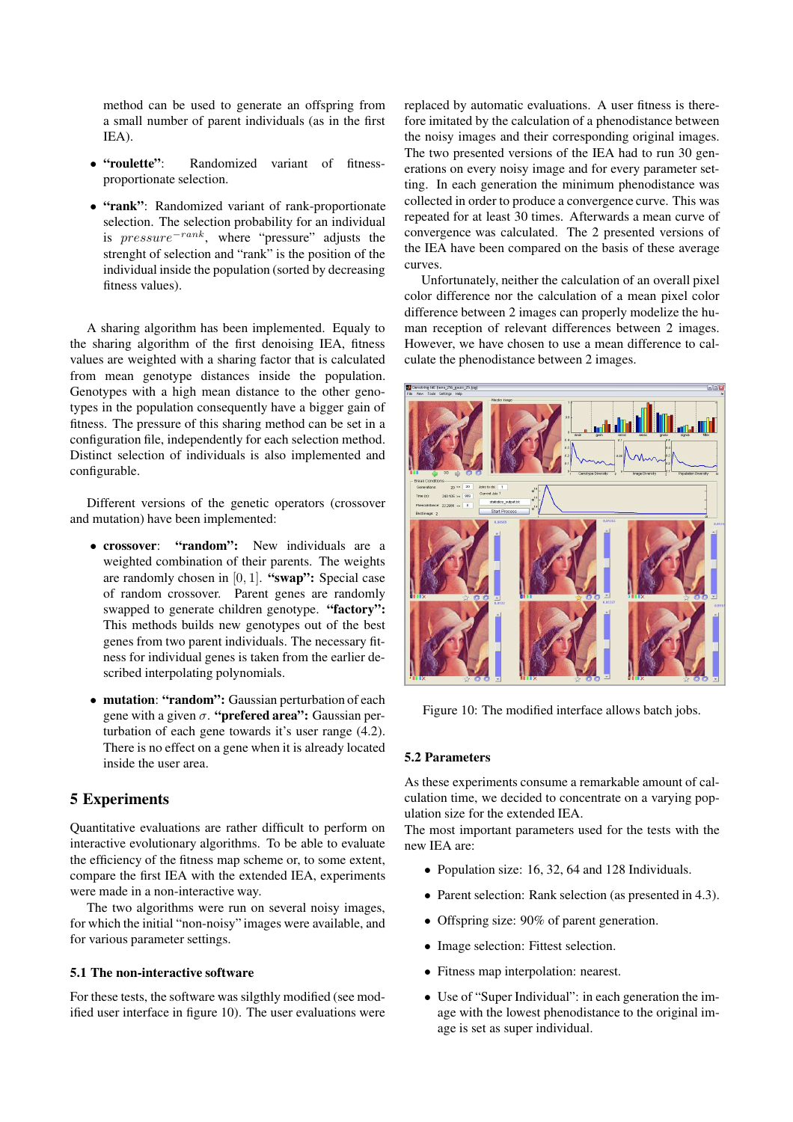method can be used to generate an offspring from a small number of parent individuals (as in the first IEA).

- **"roulette"**: Randomized variant of fitnessproportionate selection.
- **"rank"**: Randomized variant of rank-proportionate selection. The selection probability for an individual is  $pressure^{-rank}$ , where "pressure" adjusts the strenght of selection and "rank" is the position of the individual inside the population (sorted by decreasing fitness values).

A sharing algorithm has been implemented. Equaly to the sharing algorithm of the first denoising IEA, fitness values are weighted with a sharing factor that is calculated from mean genotype distances inside the population. Genotypes with a high mean distance to the other genotypes in the population consequently have a bigger gain of fitness. The pressure of this sharing method can be set in a configuration file, independently for each selection method. Distinct selection of individuals is also implemented and configurable.

Different versions of the genetic operators (crossover and mutation) have been implemented:

- **crossover**: **"random":** New individuals are a weighted combination of their parents. The weights are randomly chosen in [0, 1]. **"swap":** Special case of random crossover. Parent genes are randomly swapped to generate children genotype. **"factory":** This methods builds new genotypes out of the best genes from two parent individuals. The necessary fitness for individual genes is taken from the earlier described interpolating polynomials.
- **mutation**: **"random":** Gaussian perturbation of each gene with a given σ. **"prefered area":** Gaussian perturbation of each gene towards it's user range (4.2). There is no effect on a gene when it is already located inside the user area.

### **5 Experiments**

Quantitative evaluations are rather difficult to perform on interactive evolutionary algorithms. To be able to evaluate the efficiency of the fitness map scheme or, to some extent, compare the first IEA with the extended IEA, experiments were made in a non-interactive way.

The two algorithms were run on several noisy images, for which the initial "non-noisy" images were available, and for various parameter settings.

### **5.1 The non-interactive software**

For these tests, the software was silgthly modified (see modified user interface in figure 10). The user evaluations were replaced by automatic evaluations. A user fitness is therefore imitated by the calculation of a phenodistance between the noisy images and their corresponding original images. The two presented versions of the IEA had to run 30 generations on every noisy image and for every parameter setting. In each generation the minimum phenodistance was collected in order to produce a convergence curve. This was repeated for at least 30 times. Afterwards a mean curve of convergence was calculated. The 2 presented versions of the IEA have been compared on the basis of these average curves.

Unfortunately, neither the calculation of an overall pixel color difference nor the calculation of a mean pixel color difference between 2 images can properly modelize the human reception of relevant differences between 2 images. However, we have chosen to use a mean difference to calculate the phenodistance between 2 images.



Figure 10: The modified interface allows batch jobs.

#### **5.2 Parameters**

As these experiments consume a remarkable amount of calculation time, we decided to concentrate on a varying population size for the extended IEA.

The most important parameters used for the tests with the new IEA are:

- Population size: 16, 32, 64 and 128 Individuals.
- Parent selection: Rank selection (as presented in 4.3).
- Offspring size: 90% of parent generation.
- Image selection: Fittest selection.
- Fitness map interpolation: nearest.
- Use of "Super Individual": in each generation the image with the lowest phenodistance to the original image is set as super individual.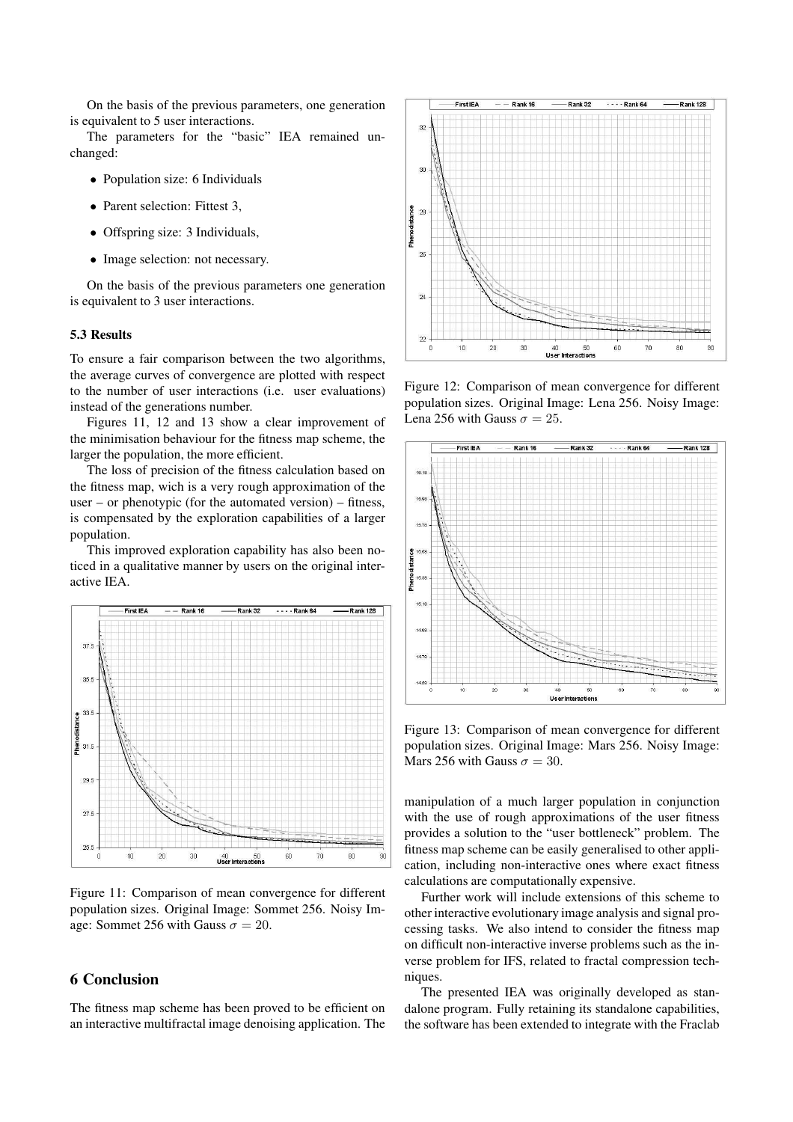On the basis of the previous parameters, one generation is equivalent to 5 user interactions.

The parameters for the "basic" IEA remained unchanged:

- Population size: 6 Individuals
- Parent selection: Fittest 3.
- Offspring size: 3 Individuals,
- Image selection: not necessary.

On the basis of the previous parameters one generation is equivalent to 3 user interactions.

#### **5.3 Results**

To ensure a fair comparison between the two algorithms, the average curves of convergence are plotted with respect to the number of user interactions (i.e. user evaluations) instead of the generations number.

Figures 11, 12 and 13 show a clear improvement of the minimisation behaviour for the fitness map scheme, the larger the population, the more efficient.

The loss of precision of the fitness calculation based on the fitness map, wich is a very rough approximation of the user – or phenotypic (for the automated version) – fitness, is compensated by the exploration capabilities of a larger population.

This improved exploration capability has also been noticed in a qualitative manner by users on the original interactive IEA.



Figure 11: Comparison of mean convergence for different population sizes. Original Image: Sommet 256. Noisy Image: Sommet 256 with Gauss  $\sigma = 20$ .

### **6 Conclusion**

The fitness map scheme has been proved to be efficient on an interactive multifractal image denoising application. The



Figure 12: Comparison of mean convergence for different population sizes. Original Image: Lena 256. Noisy Image: Lena 256 with Gauss  $\sigma = 25$ .



Figure 13: Comparison of mean convergence for different population sizes. Original Image: Mars 256. Noisy Image: Mars 256 with Gauss  $\sigma = 30$ .

manipulation of a much larger population in conjunction with the use of rough approximations of the user fitness provides a solution to the "user bottleneck" problem. The fitness map scheme can be easily generalised to other application, including non-interactive ones where exact fitness calculations are computationally expensive.

Further work will include extensions of this scheme to other interactive evolutionary image analysis and signal processing tasks. We also intend to consider the fitness map on difficult non-interactive inverse problems such as the inverse problem for IFS, related to fractal compression techniques.

The presented IEA was originally developed as standalone program. Fully retaining its standalone capabilities, the software has been extended to integrate with the Fraclab